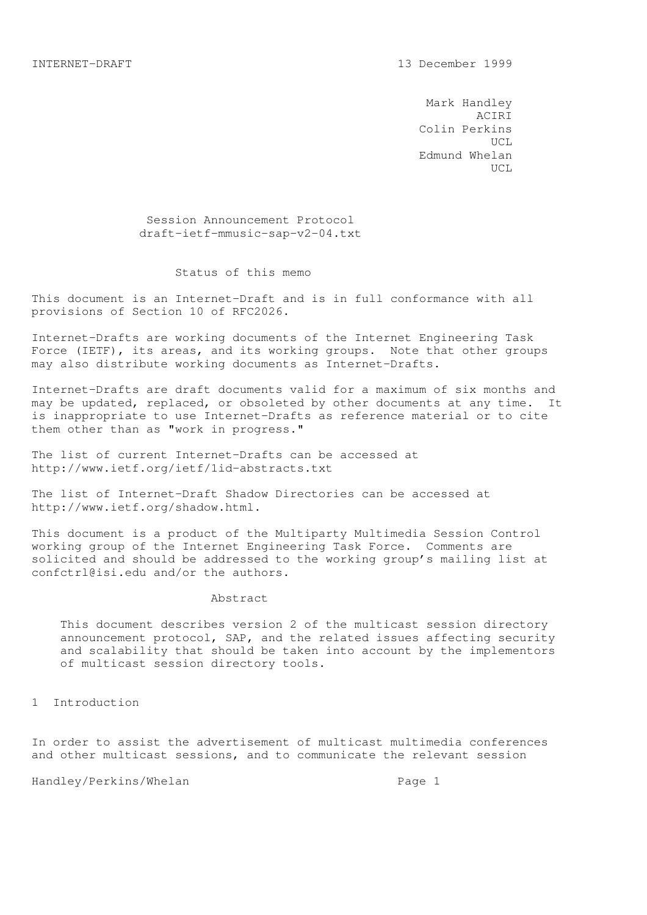Mark Handley ACIRI Colin Perkins UCL Edmund Whelan UCL

> Session Announcement Protocol draft-ietf-mmusic-sap-v2-04.txt

## Status of this memo

This document is an Internet-Draft and is in full conformance with all provisions of Section 10 of RFC2026.

Internet-Drafts are working documents of the Internet Engineering Task Force (IETF), its areas, and its working groups. Note that other groups may also distribute working documents as Internet-Drafts.

Internet-Drafts are draft documents valid for a maximum of six months and may be updated, replaced, or obsoleted by other documents at any time. It is inappropriate to use Internet-Drafts as reference material or to cite them other than as "work in progress."

The list of current Internet-Drafts can be accessed at http://www.ietf.org/ietf/1id-abstracts.txt

The list of Internet-Draft Shadow Directories can be accessed at http://www.ietf.org/shadow.html.

This document is a product of the Multiparty Multimedia Session Control working group of the Internet Engineering Task Force. Comments are solicited and should be addressed to the working group's mailing list at confctrl@isi.edu and/or the authors.

### Abstract

 This document describes version 2 of the multicast session directory announcement protocol, SAP, and the related issues affecting security and scalability that should be taken into account by the implementors of multicast session directory tools.

1 Introduction

In order to assist the advertisement of multicast multimedia conferences and other multicast sessions, and to communicate the relevant session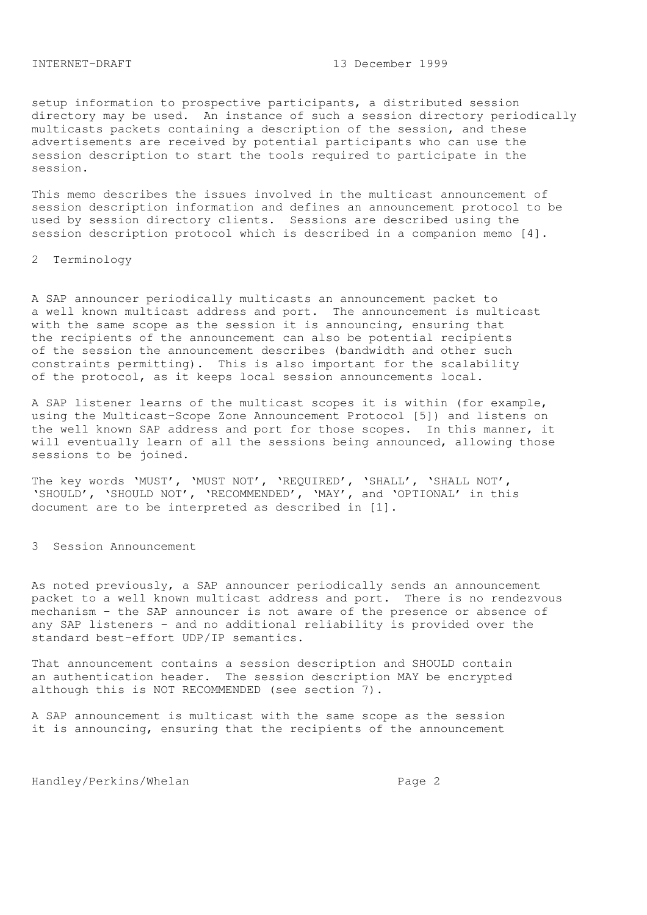setup information to prospective participants, a distributed session directory may be used. An instance of such a session directory periodically multicasts packets containing a description of the session, and these advertisements are received by potential participants who can use the session description to start the tools required to participate in the session.

This memo describes the issues involved in the multicast announcement of session description information and defines an announcement protocol to be used by session directory clients. Sessions are described using the session description protocol which is described in a companion memo [4].

## 2 Terminology

A SAP announcer periodically multicasts an announcement packet to a well known multicast address and port. The announcement is multicast with the same scope as the session it is announcing, ensuring that the recipients of the announcement can also be potential recipients of the session the announcement describes (bandwidth and other such constraints permitting). This is also important for the scalability of the protocol, as it keeps local session announcements local.

A SAP listener learns of the multicast scopes it is within (for example, using the Multicast-Scope Zone Announcement Protocol [5]) and listens on the well known SAP address and port for those scopes. In this manner, it will eventually learn of all the sessions being announced, allowing those sessions to be joined.

The key words 'MUST', 'MUST NOT', 'REQUIRED', 'SHALL', 'SHALL NOT', 'SHOULD', 'SHOULD NOT', 'RECOMMENDED', 'MAY', and 'OPTIONAL' in this document are to be interpreted as described in [1].

3 Session Announcement

As noted previously, a SAP announcer periodically sends an announcement packet to a well known multicast address and port. There is no rendezvous mechanism - the SAP announcer is not aware of the presence or absence of any SAP listeners - and no additional reliability is provided over the standard best-effort UDP/IP semantics.

That announcement contains a session description and SHOULD contain an authentication header. The session description MAY be encrypted although this is NOT RECOMMENDED (see section 7).

A SAP announcement is multicast with the same scope as the session it is announcing, ensuring that the recipients of the announcement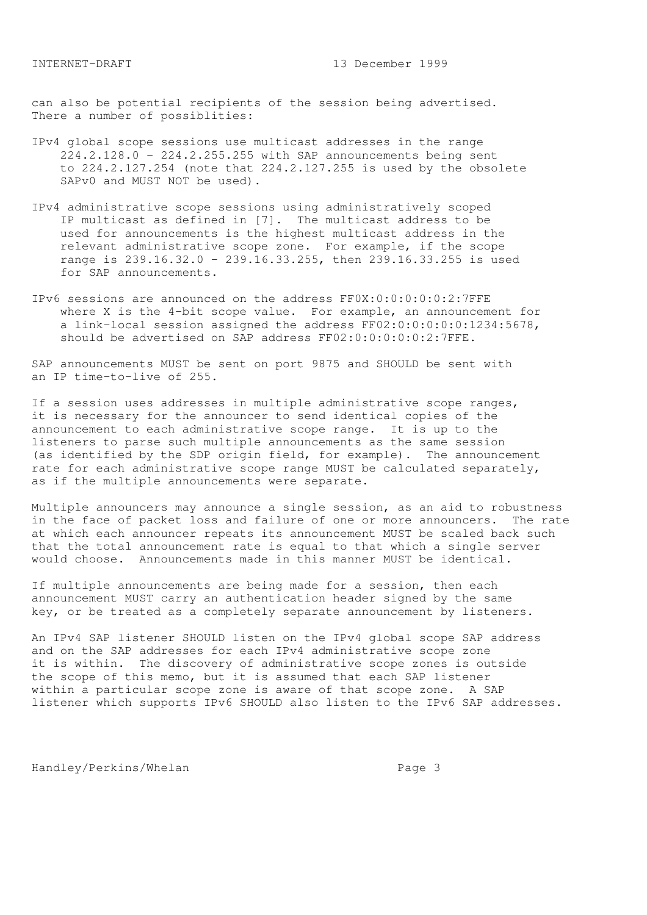can also be potential recipients of the session being advertised. There a number of possiblities:

- IPv4 global scope sessions use multicast addresses in the range 224.2.128.0 - 224.2.255.255 with SAP announcements being sent to 224.2.127.254 (note that 224.2.127.255 is used by the obsolete SAPv0 and MUST NOT be used).
- IPv4 administrative scope sessions using administratively scoped IP multicast as defined in [7]. The multicast address to be used for announcements is the highest multicast address in the relevant administrative scope zone. For example, if the scope range is 239.16.32.0 - 239.16.33.255, then 239.16.33.255 is used for SAP announcements.
- IPv6 sessions are announced on the address FF0X:0:0:0:0:0:2:7FFE where X is the 4-bit scope value. For example, an announcement for a link-local session assigned the address FF02:0:0:0:0:0:1234:5678, should be advertised on SAP address FF02:0:0:0:0:0:2:7FFE.

SAP announcements MUST be sent on port 9875 and SHOULD be sent with an IP time-to-live of 255.

If a session uses addresses in multiple administrative scope ranges, it is necessary for the announcer to send identical copies of the announcement to each administrative scope range. It is up to the listeners to parse such multiple announcements as the same session (as identified by the SDP origin field, for example). The announcement rate for each administrative scope range MUST be calculated separately, as if the multiple announcements were separate.

Multiple announcers may announce a single session, as an aid to robustness in the face of packet loss and failure of one or more announcers. The rate at which each announcer repeats its announcement MUST be scaled back such that the total announcement rate is equal to that which a single server would choose. Announcements made in this manner MUST be identical.

If multiple announcements are being made for a session, then each announcement MUST carry an authentication header signed by the same key, or be treated as a completely separate announcement by listeners.

An IPv4 SAP listener SHOULD listen on the IPv4 global scope SAP address and on the SAP addresses for each IPv4 administrative scope zone it is within. The discovery of administrative scope zones is outside the scope of this memo, but it is assumed that each SAP listener within a particular scope zone is aware of that scope zone. A SAP listener which supports IPv6 SHOULD also listen to the IPv6 SAP addresses.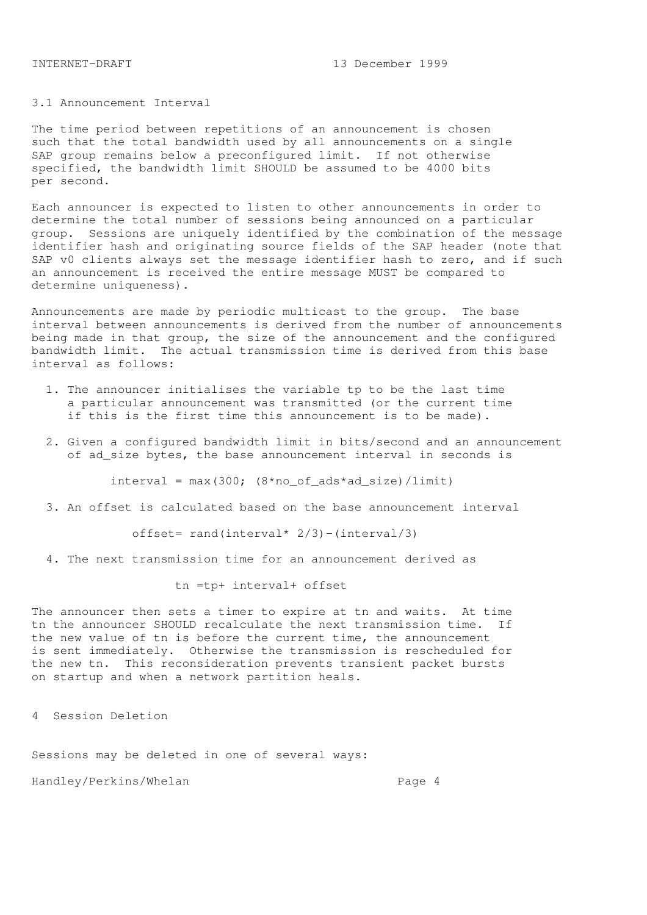# 3.1 Announcement Interval

The time period between repetitions of an announcement is chosen such that the total bandwidth used by all announcements on a single SAP group remains below a preconfigured limit. If not otherwise specified, the bandwidth limit SHOULD be assumed to be 4000 bits per second.

Each announcer is expected to listen to other announcements in order to determine the total number of sessions being announced on a particular group. Sessions are uniquely identified by the combination of the message identifier hash and originating source fields of the SAP header (note that SAP v0 clients always set the message identifier hash to zero, and if such an announcement is received the entire message MUST be compared to determine uniqueness).

Announcements are made by periodic multicast to the group. The base interval between announcements is derived from the number of announcements being made in that group, the size of the announcement and the configured bandwidth limit. The actual transmission time is derived from this base interval as follows:

- 1. The announcer initialises the variable tp to be the last time a particular announcement was transmitted (or the current time if this is the first time this announcement is to be made).
- 2. Given a configured bandwidth limit in bits/second and an announcement of ad\_size bytes, the base announcement interval in seconds is

 $interval = max(300; (8*no_of_ads*ad_size)/limit)$ 

3. An offset is calculated based on the base announcement interval

offset= rand(interval\*  $2/3$ ) -(interval/3)

4. The next transmission time for an announcement derived as

tn =tp+ interval+ offset

The announcer then sets a timer to expire at tn and waits. At time tn the announcer SHOULD recalculate the next transmission time. If the new value of tn is before the current time, the announcement is sent immediately. Otherwise the transmission is rescheduled for the new tn. This reconsideration prevents transient packet bursts on startup and when a network partition heals.

4 Session Deletion

Sessions may be deleted in one of several ways: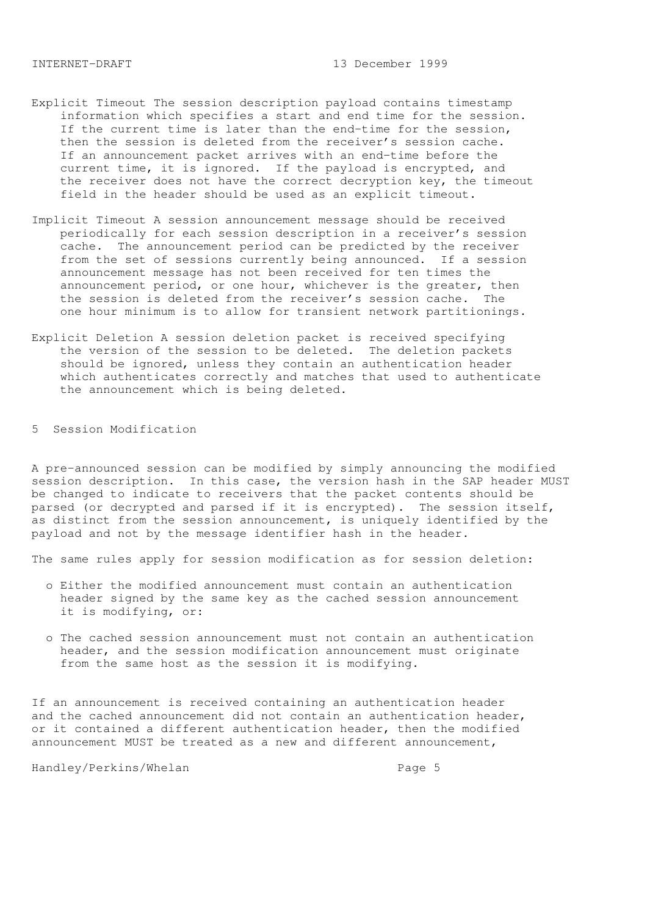- Explicit Timeout The session description payload contains timestamp information which specifies a start and end time for the session. If the current time is later than the end-time for the session, then the session is deleted from the receiver's session cache. If an announcement packet arrives with an end-time before the current time, it is ignored. If the payload is encrypted, and the receiver does not have the correct decryption key, the timeout field in the header should be used as an explicit timeout.
- Implicit Timeout A session announcement message should be received periodically for each session description in a receiver's session cache. The announcement period can be predicted by the receiver from the set of sessions currently being announced. If a session announcement message has not been received for ten times the announcement period, or one hour, whichever is the greater, then the session is deleted from the receiver's session cache. The one hour minimum is to allow for transient network partitionings.
- Explicit Deletion A session deletion packet is received specifying the version of the session to be deleted. The deletion packets should be ignored, unless they contain an authentication header which authenticates correctly and matches that used to authenticate the announcement which is being deleted.

5 Session Modification

A pre-announced session can be modified by simply announcing the modified session description. In this case, the version hash in the SAP header MUST be changed to indicate to receivers that the packet contents should be parsed (or decrypted and parsed if it is encrypted). The session itself, as distinct from the session announcement, is uniquely identified by the payload and not by the message identifier hash in the header.

The same rules apply for session modification as for session deletion:

- o Either the modified announcement must contain an authentication header signed by the same key as the cached session announcement it is modifying, or:
- o The cached session announcement must not contain an authentication header, and the session modification announcement must originate from the same host as the session it is modifying.

If an announcement is received containing an authentication header and the cached announcement did not contain an authentication header, or it contained a different authentication header, then the modified announcement MUST be treated as a new and different announcement,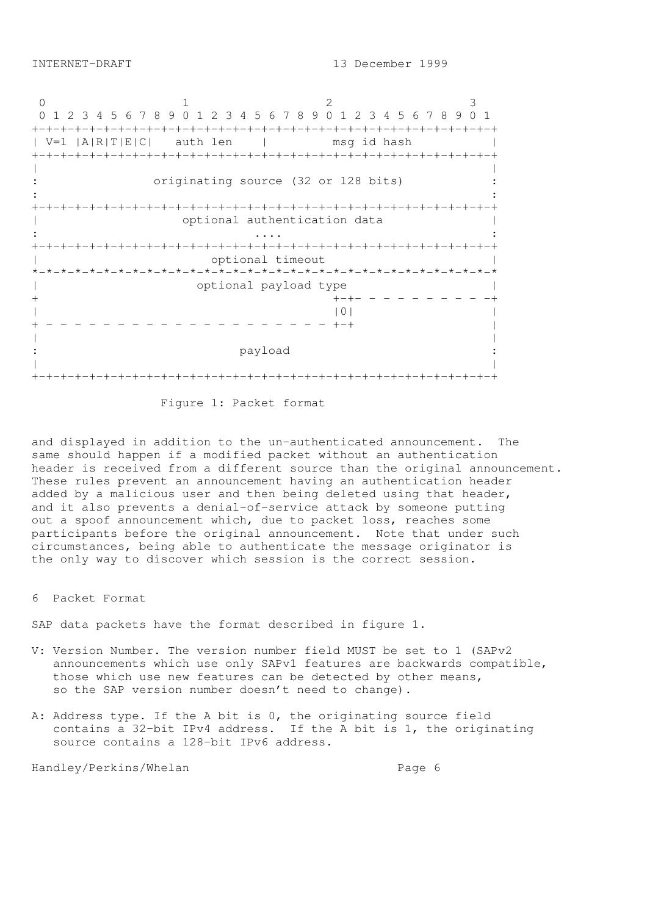0 1 2 3 0 1 2 3 4 5 6 7 8 9 0 1 2 3 4 5 6 7 8 9 0 1 2 3 4 5 6 7 8 9 0 1 +-+-+-+-+-+-+-+-+-+-+-+-+-+-+-+-+-+-+-+-+-+-+-+-+-+-+-+-+-+-+-+-+ | V=1 |A|R|T|E|C| auth len | msg id hash | +-+-+-+-+-+-+-+-+-+-+-+-+-+-+-+-+-+-+-+-+-+-+-+-+-+-+-+-+-+-+-+-+ | | originating source (32 or 128 bits) :  $\mathbf{r} = \mathbf{r} \times \mathbf{r}$  ,  $\mathbf{r} = \mathbf{r} \times \mathbf{r}$  ,  $\mathbf{r} = \mathbf{r} \times \mathbf{r}$  ,  $\mathbf{r} = \mathbf{r} \times \mathbf{r}$  ,  $\mathbf{r} = \mathbf{r} \times \mathbf{r}$  ,  $\mathbf{r} = \mathbf{r} \times \mathbf{r}$  ,  $\mathbf{r} = \mathbf{r} \times \mathbf{r}$  ,  $\mathbf{r} = \mathbf{r} \times \mathbf{r}$  ,  $\mathbf{r} = \mathbf$ +-+-+-+-+-+-+-+-+-+-+-+-+-+-+-+-+-+-+-+-+-+-+-+-+-+-+-+-+-+-+-+-+ | optional authentication data | : .... : +-+-+-+-+-+-+-+-+-+-+-+-+-+-+-+-+-+-+-+-+-+-+-+-+-+-+-+-+-+-+-+-+ optional timeout \*-\*-\*-\*-\*-\*-\*-\*-\*-\*-\*-\*-\*-\*-\*-\*-\*-\*-\*-\*-\*-\*-\*-\*-\*-\*-\*-\*-\*-\*-\*-\*-\* | optional payload type | + +-+- - - - - - - - - -+  $|0|$ + - - - - - - - - - - - - - - - - - - - - +-+ | | | payload | | +-+-+-+-+-+-+-+-+-+-+-+-+-+-+-+-+-+-+-+-+-+-+-+-+-+-+-+-+-+-+-+-+

Figure 1: Packet format

and displayed in addition to the un-authenticated announcement. The same should happen if a modified packet without an authentication header is received from a different source than the original announcement. These rules prevent an announcement having an authentication header added by a malicious user and then being deleted using that header, and it also prevents a denial-of-service attack by someone putting out a spoof announcement which, due to packet loss, reaches some participants before the original announcement. Note that under such circumstances, being able to authenticate the message originator is the only way to discover which session is the correct session.

6 Packet Format

SAP data packets have the format described in figure 1.

- V: Version Number. The version number field MUST be set to 1 (SAPv2 announcements which use only SAPv1 features are backwards compatible, those which use new features can be detected by other means, so the SAP version number doesn't need to change).
- A: Address type. If the A bit is 0, the originating source field contains a 32-bit IPv4 address. If the A bit is 1, the originating source contains a 128-bit IPv6 address.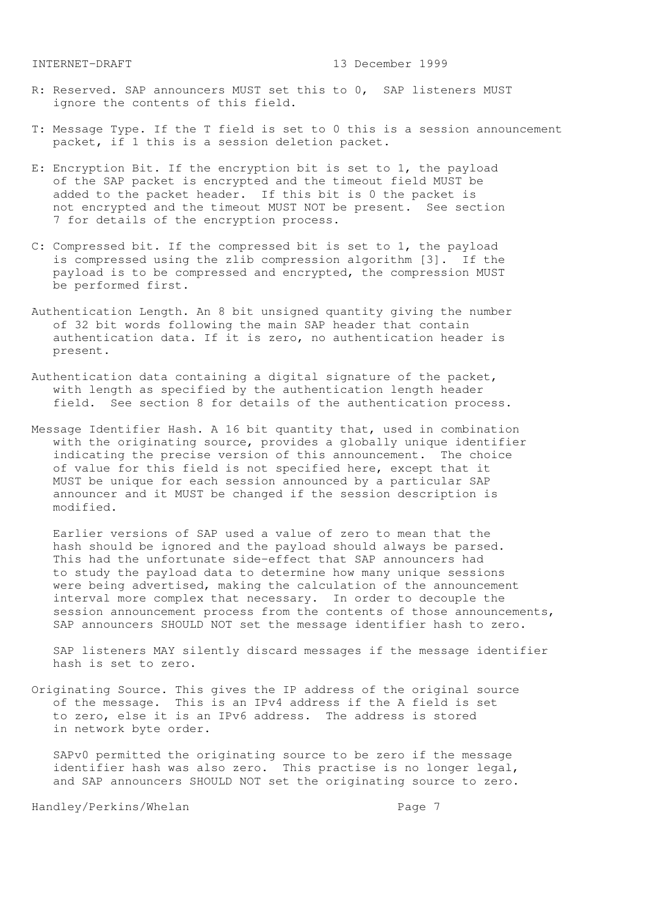- R: Reserved. SAP announcers MUST set this to 0, SAP listeners MUST ignore the contents of this field.
- T: Message Type. If the T field is set to 0 this is a session announcement packet, if 1 this is a session deletion packet.
- E: Encryption Bit. If the encryption bit is set to 1, the payload of the SAP packet is encrypted and the timeout field MUST be added to the packet header. If this bit is 0 the packet is not encrypted and the timeout MUST NOT be present. See section 7 for details of the encryption process.
- C: Compressed bit. If the compressed bit is set to 1, the payload is compressed using the zlib compression algorithm [3]. If the payload is to be compressed and encrypted, the compression MUST be performed first.
- Authentication Length. An 8 bit unsigned quantity giving the number of 32 bit words following the main SAP header that contain authentication data. If it is zero, no authentication header is present.
- Authentication data containing a digital signature of the packet, with length as specified by the authentication length header field. See section 8 for details of the authentication process.
- Message Identifier Hash. A 16 bit quantity that, used in combination with the originating source, provides a globally unique identifier indicating the precise version of this announcement. The choice of value for this field is not specified here, except that it MUST be unique for each session announced by a particular SAP announcer and it MUST be changed if the session description is modified.

 Earlier versions of SAP used a value of zero to mean that the hash should be ignored and the payload should always be parsed. This had the unfortunate side-effect that SAP announcers had to study the payload data to determine how many unique sessions were being advertised, making the calculation of the announcement interval more complex that necessary. In order to decouple the session announcement process from the contents of those announcements, SAP announcers SHOULD NOT set the message identifier hash to zero.

 SAP listeners MAY silently discard messages if the message identifier hash is set to zero.

Originating Source. This gives the IP address of the original source of the message. This is an IPv4 address if the A field is set to zero, else it is an IPv6 address. The address is stored in network byte order.

 SAPv0 permitted the originating source to be zero if the message identifier hash was also zero. This practise is no longer legal, and SAP announcers SHOULD NOT set the originating source to zero.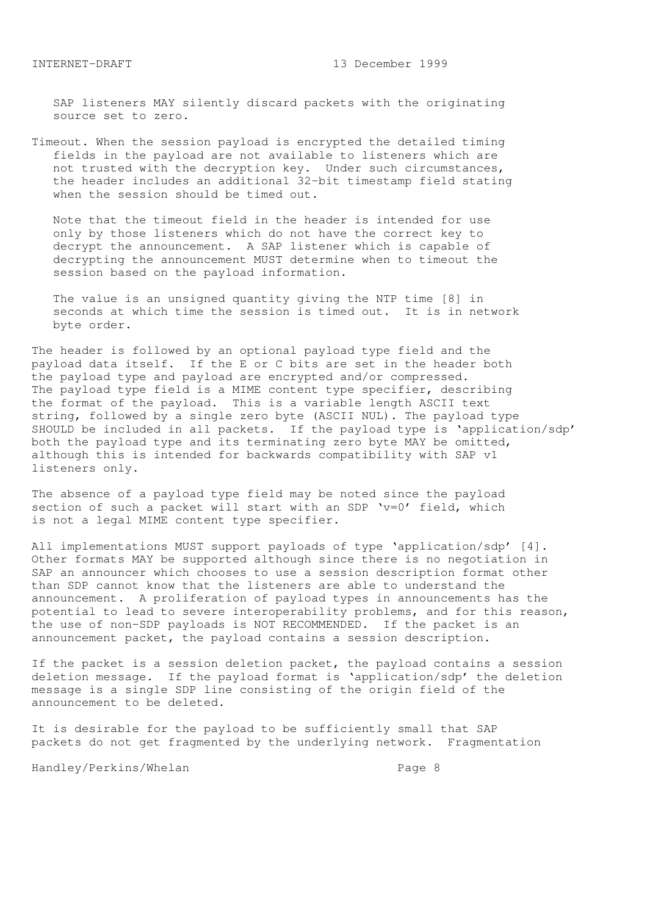SAP listeners MAY silently discard packets with the originating source set to zero.

Timeout. When the session payload is encrypted the detailed timing fields in the payload are not available to listeners which are not trusted with the decryption key. Under such circumstances, the header includes an additional 32-bit timestamp field stating when the session should be timed out.

 Note that the timeout field in the header is intended for use only by those listeners which do not have the correct key to decrypt the announcement. A SAP listener which is capable of decrypting the announcement MUST determine when to timeout the session based on the payload information.

 The value is an unsigned quantity giving the NTP time [8] in seconds at which time the session is timed out. It is in network byte order.

The header is followed by an optional payload type field and the payload data itself. If the E or C bits are set in the header both the payload type and payload are encrypted and/or compressed. The payload type field is a MIME content type specifier, describing the format of the payload. This is a variable length ASCII text string, followed by a single zero byte (ASCII NUL). The payload type SHOULD be included in all packets. If the payload type is 'application/sdp' both the payload type and its terminating zero byte MAY be omitted, although this is intended for backwards compatibility with SAP v1 listeners only.

The absence of a payload type field may be noted since the payload section of such a packet will start with an SDP 'v=0' field, which is not a legal MIME content type specifier.

All implementations MUST support payloads of type 'application/sdp' [4]. Other formats MAY be supported although since there is no negotiation in SAP an announcer which chooses to use a session description format other than SDP cannot know that the listeners are able to understand the announcement. A proliferation of payload types in announcements has the potential to lead to severe interoperability problems, and for this reason, the use of non-SDP payloads is NOT RECOMMENDED. If the packet is an announcement packet, the payload contains a session description.

If the packet is a session deletion packet, the payload contains a session deletion message. If the payload format is 'application/sdp' the deletion message is a single SDP line consisting of the origin field of the announcement to be deleted.

It is desirable for the payload to be sufficiently small that SAP packets do not get fragmented by the underlying network. Fragmentation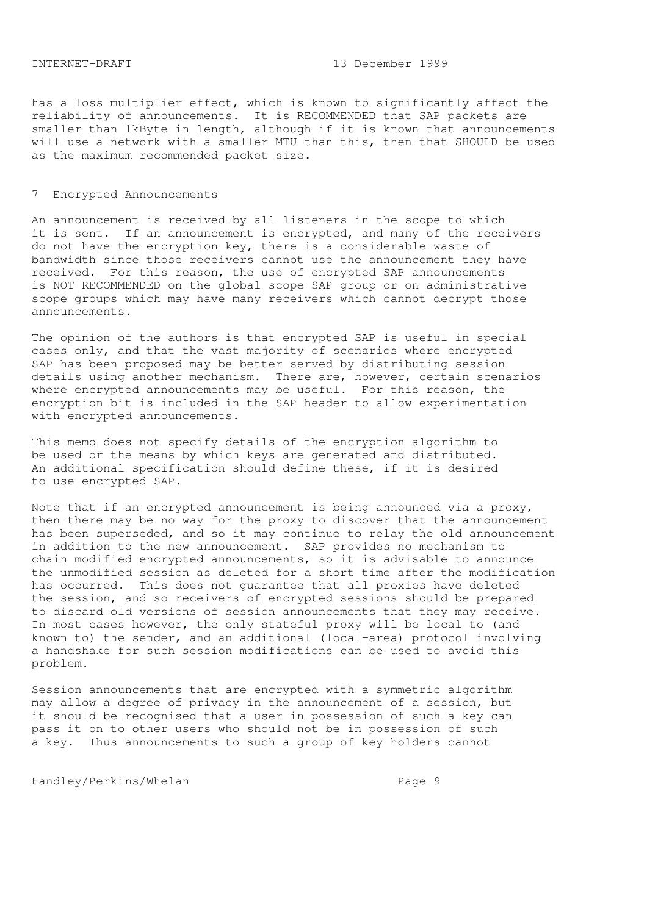has a loss multiplier effect, which is known to significantly affect the reliability of announcements. It is RECOMMENDED that SAP packets are smaller than 1kByte in length, although if it is known that announcements will use a network with a smaller MTU than this, then that SHOULD be used as the maximum recommended packet size.

#### 7 Encrypted Announcements

An announcement is received by all listeners in the scope to which it is sent. If an announcement is encrypted, and many of the receivers do not have the encryption key, there is a considerable waste of bandwidth since those receivers cannot use the announcement they have received. For this reason, the use of encrypted SAP announcements is NOT RECOMMENDED on the global scope SAP group or on administrative scope groups which may have many receivers which cannot decrypt those announcements.

The opinion of the authors is that encrypted SAP is useful in special cases only, and that the vast majority of scenarios where encrypted SAP has been proposed may be better served by distributing session details using another mechanism. There are, however, certain scenarios where encrypted announcements may be useful. For this reason, the encryption bit is included in the SAP header to allow experimentation with encrypted announcements.

This memo does not specify details of the encryption algorithm to be used or the means by which keys are generated and distributed. An additional specification should define these, if it is desired to use encrypted SAP.

Note that if an encrypted announcement is being announced via a proxy, then there may be no way for the proxy to discover that the announcement has been superseded, and so it may continue to relay the old announcement in addition to the new announcement. SAP provides no mechanism to chain modified encrypted announcements, so it is advisable to announce the unmodified session as deleted for a short time after the modification has occurred. This does not guarantee that all proxies have deleted the session, and so receivers of encrypted sessions should be prepared to discard old versions of session announcements that they may receive. In most cases however, the only stateful proxy will be local to (and known to) the sender, and an additional (local-area) protocol involving a handshake for such session modifications can be used to avoid this problem.

Session announcements that are encrypted with a symmetric algorithm may allow a degree of privacy in the announcement of a session, but it should be recognised that a user in possession of such a key can pass it on to other users who should not be in possession of such a key. Thus announcements to such a group of key holders cannot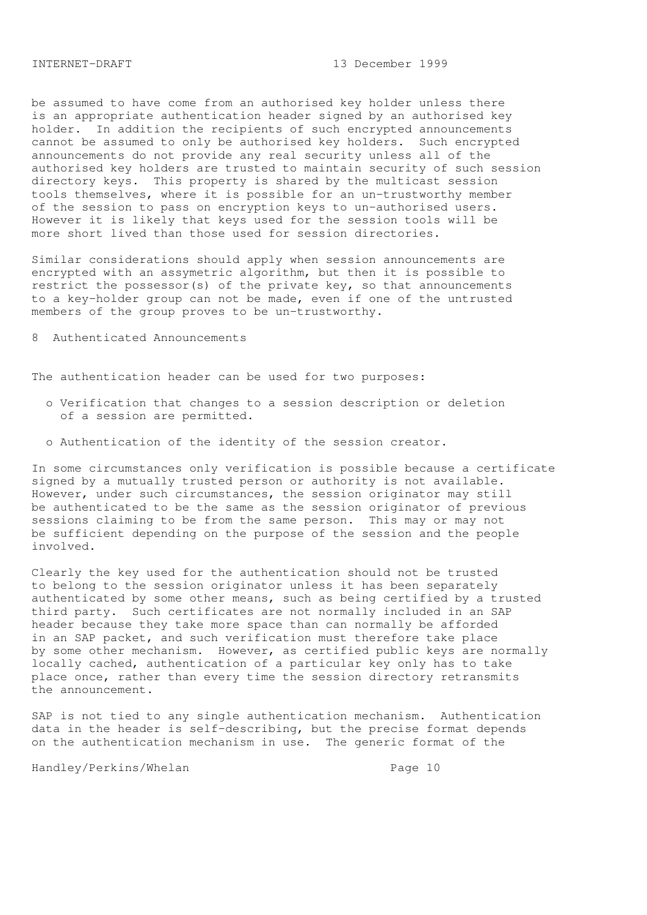be assumed to have come from an authorised key holder unless there is an appropriate authentication header signed by an authorised key holder. In addition the recipients of such encrypted announcements cannot be assumed to only be authorised key holders. Such encrypted announcements do not provide any real security unless all of the authorised key holders are trusted to maintain security of such session directory keys. This property is shared by the multicast session tools themselves, where it is possible for an un-trustworthy member of the session to pass on encryption keys to un-authorised users. However it is likely that keys used for the session tools will be more short lived than those used for session directories.

Similar considerations should apply when session announcements are encrypted with an assymetric algorithm, but then it is possible to restrict the possessor(s) of the private key, so that announcements to a key-holder group can not be made, even if one of the untrusted members of the group proves to be un-trustworthy.

# 8 Authenticated Announcements

The authentication header can be used for two purposes:

- o Verification that changes to a session description or deletion of a session are permitted.
- o Authentication of the identity of the session creator.

In some circumstances only verification is possible because a certificate signed by a mutually trusted person or authority is not available. However, under such circumstances, the session originator may still be authenticated to be the same as the session originator of previous sessions claiming to be from the same person. This may or may not be sufficient depending on the purpose of the session and the people involved.

Clearly the key used for the authentication should not be trusted to belong to the session originator unless it has been separately authenticated by some other means, such as being certified by a trusted third party. Such certificates are not normally included in an SAP header because they take more space than can normally be afforded in an SAP packet, and such verification must therefore take place by some other mechanism. However, as certified public keys are normally locally cached, authentication of a particular key only has to take place once, rather than every time the session directory retransmits the announcement.

SAP is not tied to any single authentication mechanism. Authentication data in the header is self-describing, but the precise format depends on the authentication mechanism in use. The generic format of the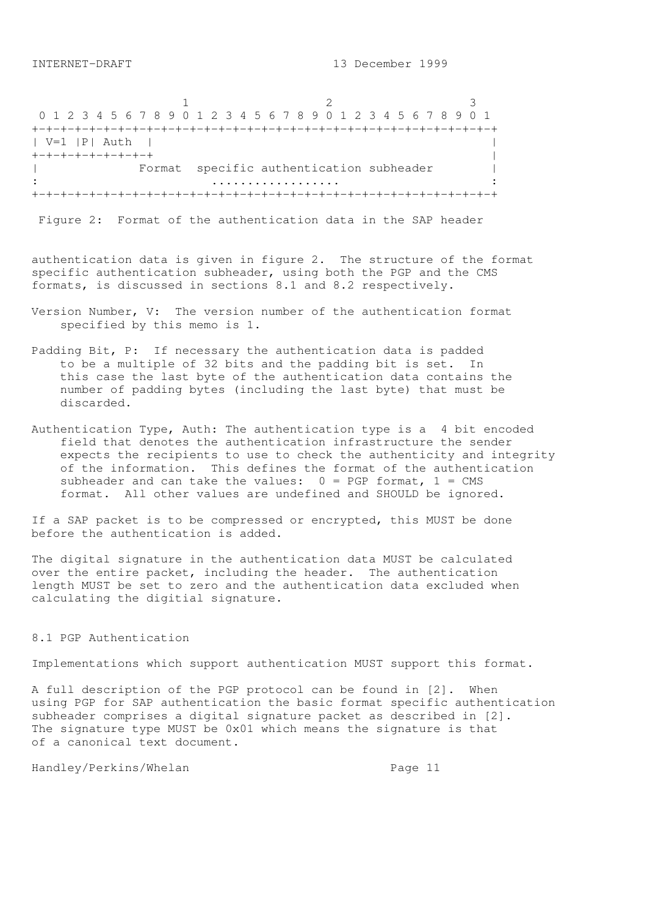1 2 3 0 1 2 3 4 5 6 7 8 9 0 1 2 3 4 5 6 7 8 9 0 1 2 3 4 5 6 7 8 9 0 1 +-+-+-+-+-+-+-+-+-+-+-+-+-+-+-+-+-+-+-+-+-+-+-+-+-+-+-+-+-+-+-+-+ | V=1 |P| Auth | | +-+-+-+-+-+-+-+-+ | Format specific authentication subheader | : .................. : +-+-+-+-+-+-+-+-+-+-+-+-+-+-+-+-+-+-+-+-+-+-+-+-+-+-+-+-+-+-+-+-+

Figure 2: Format of the authentication data in the SAP header

authentication data is given in figure 2. The structure of the format specific authentication subheader, using both the PGP and the CMS formats, is discussed in sections 8.1 and 8.2 respectively.

- Version Number, V: The version number of the authentication format specified by this memo is 1.
- Padding Bit, P: If necessary the authentication data is padded to be a multiple of 32 bits and the padding bit is set. In this case the last byte of the authentication data contains the number of padding bytes (including the last byte) that must be discarded.
- Authentication Type, Auth: The authentication type is a 4 bit encoded field that denotes the authentication infrastructure the sender expects the recipients to use to check the authenticity and integrity of the information. This defines the format of the authentication subheader and can take the values:  $0 = PGP$  format,  $1 = CMS$ format. All other values are undefined and SHOULD be ignored.

If a SAP packet is to be compressed or encrypted, this MUST be done before the authentication is added.

The digital signature in the authentication data MUST be calculated over the entire packet, including the header. The authentication length MUST be set to zero and the authentication data excluded when calculating the digitial signature.

## 8.1 PGP Authentication

Implementations which support authentication MUST support this format.

A full description of the PGP protocol can be found in [2]. When using PGP for SAP authentication the basic format specific authentication subheader comprises a digital signature packet as described in [2]. The signature type MUST be 0x01 which means the signature is that of a canonical text document.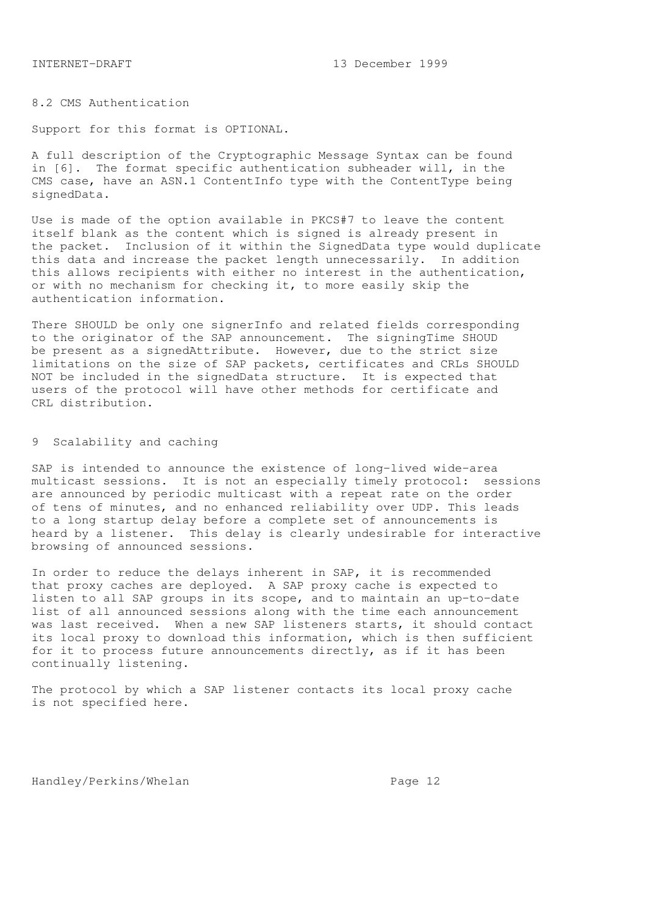8.2 CMS Authentication

Support for this format is OPTIONAL.

A full description of the Cryptographic Message Syntax can be found in [6]. The format specific authentication subheader will, in the CMS case, have an ASN.1 ContentInfo type with the ContentType being signedData.

Use is made of the option available in PKCS#7 to leave the content itself blank as the content which is signed is already present in the packet. Inclusion of it within the SignedData type would duplicate this data and increase the packet length unnecessarily. In addition this allows recipients with either no interest in the authentication, or with no mechanism for checking it, to more easily skip the authentication information.

There SHOULD be only one signerInfo and related fields corresponding to the originator of the SAP announcement. The signingTime SHOUD be present as a signedAttribute. However, due to the strict size limitations on the size of SAP packets, certificates and CRLs SHOULD NOT be included in the signedData structure. It is expected that users of the protocol will have other methods for certificate and CRL distribution.

### 9 Scalability and caching

SAP is intended to announce the existence of long-lived wide-area multicast sessions. It is not an especially timely protocol: sessions are announced by periodic multicast with a repeat rate on the order of tens of minutes, and no enhanced reliability over UDP. This leads to a long startup delay before a complete set of announcements is heard by a listener. This delay is clearly undesirable for interactive browsing of announced sessions.

In order to reduce the delays inherent in SAP, it is recommended that proxy caches are deployed. A SAP proxy cache is expected to listen to all SAP groups in its scope, and to maintain an up-to-date list of all announced sessions along with the time each announcement was last received. When a new SAP listeners starts, it should contact its local proxy to download this information, which is then sufficient for it to process future announcements directly, as if it has been continually listening.

The protocol by which a SAP listener contacts its local proxy cache is not specified here.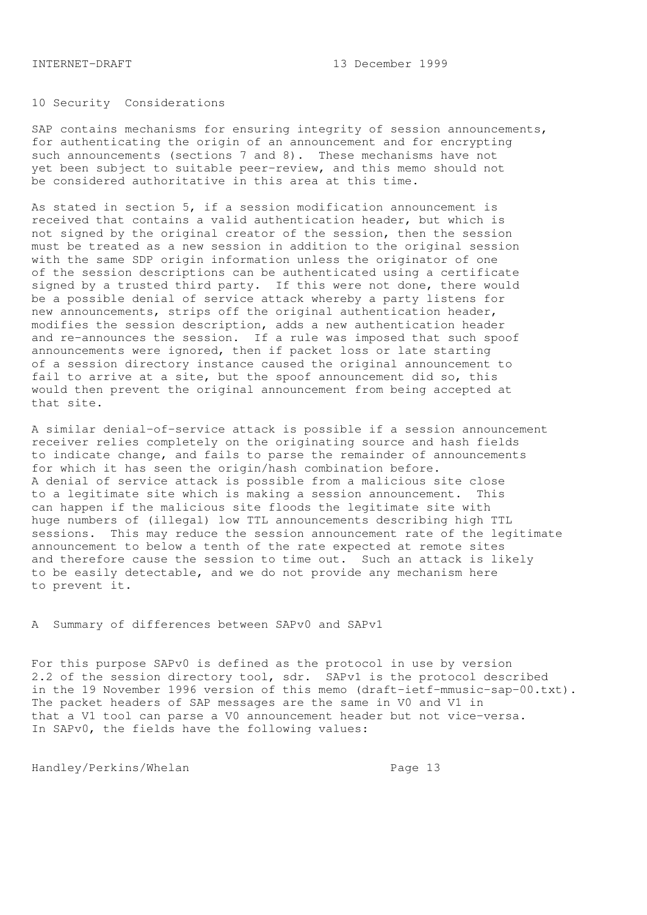# 10 Security Considerations

SAP contains mechanisms for ensuring integrity of session announcements, for authenticating the origin of an announcement and for encrypting such announcements (sections 7 and 8). These mechanisms have not yet been subject to suitable peer-review, and this memo should not be considered authoritative in this area at this time.

As stated in section 5, if a session modification announcement is received that contains a valid authentication header, but which is not signed by the original creator of the session, then the session must be treated as a new session in addition to the original session with the same SDP origin information unless the originator of one of the session descriptions can be authenticated using a certificate signed by a trusted third party. If this were not done, there would be a possible denial of service attack whereby a party listens for new announcements, strips off the original authentication header, modifies the session description, adds a new authentication header and re-announces the session. If a rule was imposed that such spoof announcements were ignored, then if packet loss or late starting of a session directory instance caused the original announcement to fail to arrive at a site, but the spoof announcement did so, this would then prevent the original announcement from being accepted at that site.

A similar denial-of-service attack is possible if a session announcement receiver relies completely on the originating source and hash fields to indicate change, and fails to parse the remainder of announcements for which it has seen the origin/hash combination before. A denial of service attack is possible from a malicious site close to a legitimate site which is making a session announcement. This can happen if the malicious site floods the legitimate site with huge numbers of (illegal) low TTL announcements describing high TTL sessions. This may reduce the session announcement rate of the legitimate announcement to below a tenth of the rate expected at remote sites and therefore cause the session to time out. Such an attack is likely to be easily detectable, and we do not provide any mechanism here to prevent it.

A Summary of differences between SAPv0 and SAPv1

For this purpose SAPv0 is defined as the protocol in use by version 2.2 of the session directory tool, sdr. SAPv1 is the protocol described in the 19 November 1996 version of this memo (draft-ietf-mmusic-sap-00.txt). The packet headers of SAP messages are the same in V0 and V1 in that a V1 tool can parse a V0 announcement header but not vice-versa. In SAPv0, the fields have the following values: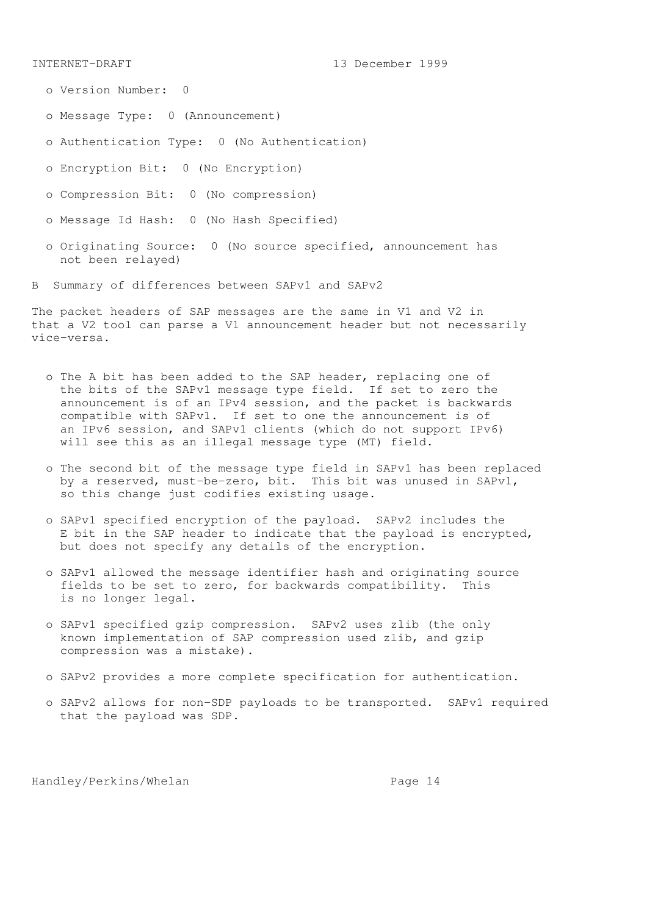- o Version Number: 0
- o Message Type: 0 (Announcement)
- o Authentication Type: 0 (No Authentication)
- o Encryption Bit: 0 (No Encryption)
- o Compression Bit: 0 (No compression)
- o Message Id Hash: 0 (No Hash Specified)
- o Originating Source: 0 (No source specified, announcement has not been relayed)
- B Summary of differences between SAPv1 and SAPv2

The packet headers of SAP messages are the same in V1 and V2 in that a V2 tool can parse a V1 announcement header but not necessarily vice-versa.

- o The A bit has been added to the SAP header, replacing one of the bits of the SAPv1 message type field. If set to zero the announcement is of an IPv4 session, and the packet is backwards compatible with SAPv1. If set to one the announcement is of an IPv6 session, and SAPv1 clients (which do not support IPv6) will see this as an illegal message type (MT) field.
- o The second bit of the message type field in SAPv1 has been replaced by a reserved, must-be-zero, bit. This bit was unused in SAPv1, so this change just codifies existing usage.
- o SAPv1 specified encryption of the payload. SAPv2 includes the E bit in the SAP header to indicate that the payload is encrypted, but does not specify any details of the encryption.
- o SAPv1 allowed the message identifier hash and originating source fields to be set to zero, for backwards compatibility. This is no longer legal.
- o SAPv1 specified gzip compression. SAPv2 uses zlib (the only known implementation of SAP compression used zlib, and gzip compression was a mistake).
- o SAPv2 provides a more complete specification for authentication.
- o SAPv2 allows for non-SDP payloads to be transported. SAPv1 required that the payload was SDP.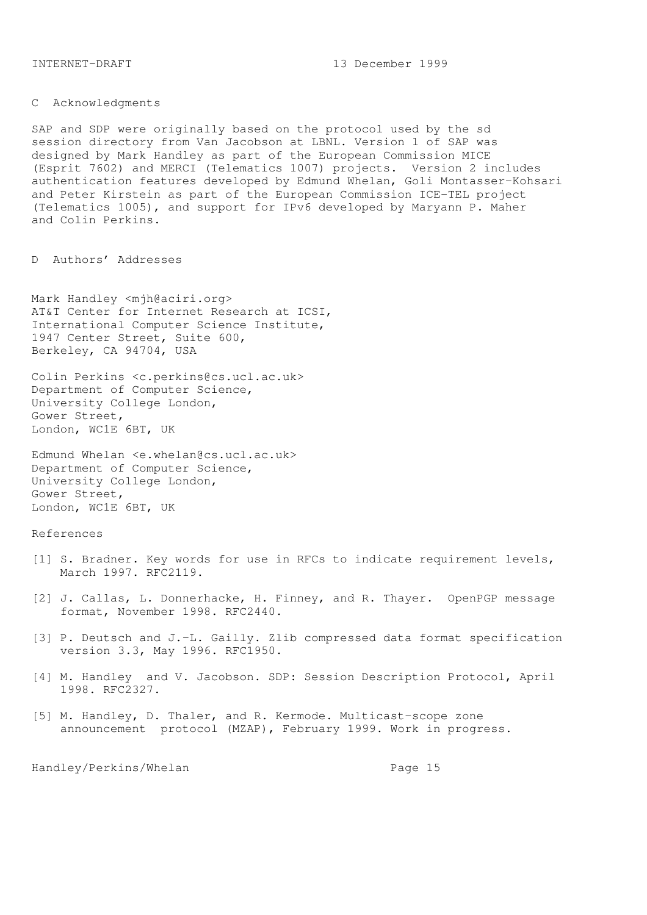C Acknowledgments

SAP and SDP were originally based on the protocol used by the sd session directory from Van Jacobson at LBNL. Version 1 of SAP was designed by Mark Handley as part of the European Commission MICE (Esprit 7602) and MERCI (Telematics 1007) projects. Version 2 includes authentication features developed by Edmund Whelan, Goli Montasser-Kohsari and Peter Kirstein as part of the European Commission ICE-TEL project (Telematics 1005), and support for IPv6 developed by Maryann P. Maher and Colin Perkins.

D Authors' Addresses

Mark Handley <mjh@aciri.org> AT&T Center for Internet Research at ICSI, International Computer Science Institute, 1947 Center Street, Suite 600, Berkeley, CA 94704, USA

Colin Perkins <c.perkins@cs.ucl.ac.uk> Department of Computer Science, University College London, Gower Street, London, WC1E 6BT, UK

Edmund Whelan <e.whelan@cs.ucl.ac.uk> Department of Computer Science, University College London, Gower Street, London, WC1E 6BT, UK

## References

- [1] S. Bradner. Key words for use in RFCs to indicate requirement levels, March 1997. RFC2119.
- [2] J. Callas, L. Donnerhacke, H. Finney, and R. Thayer. OpenPGP message format, November 1998. RFC2440.
- [3] P. Deutsch and J.-L. Gailly. Zlib compressed data format specification version 3.3, May 1996. RFC1950.
- [4] M. Handley and V. Jacobson. SDP: Session Description Protocol, April 1998. RFC2327.
- [5] M. Handley, D. Thaler, and R. Kermode. Multicast-scope zone announcement protocol (MZAP), February 1999. Work in progress.